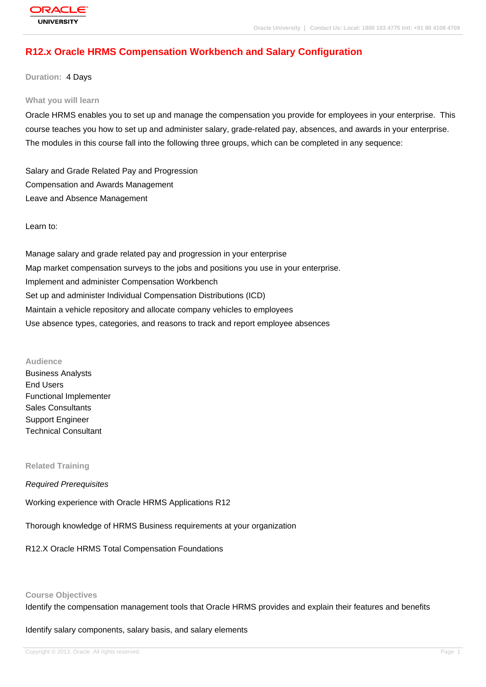# **R12.x Oracle HRMS Compensation Workbench and Salary Configuration**

**Duration:** 4 Days

#### **What you will learn**

Oracle HRMS enables you to set up and manage the compensation you provide for employees in your enterprise. This course teaches you how to set up and administer salary, grade-related pay, absences, and awards in your enterprise. The modules in this course fall into the following three groups, which can be completed in any sequence:

Salary and Grade Related Pay and Progression Compensation and Awards Management Leave and Absence Management

Learn to:

Manage salary and grade related pay and progression in your enterprise Map market compensation surveys to the jobs and positions you use in your enterprise. Implement and administer Compensation Workbench Set up and administer Individual Compensation Distributions (ICD) Maintain a vehicle repository and allocate company vehicles to employees Use absence types, categories, and reasons to track and report employee absences

**Audience**

Business Analysts End Users Functional Implementer Sales Consultants Support Engineer Technical Consultant

**Related Training**

Required Prerequisites

Working experience with Oracle HRMS Applications R12

Thorough knowledge of HRMS Business requirements at your organization

R12.X Oracle HRMS Total Compensation Foundations

#### **Course Objectives**

Identify the compensation management tools that Oracle HRMS provides and explain their features and benefits

Identify salary components, salary basis, and salary elements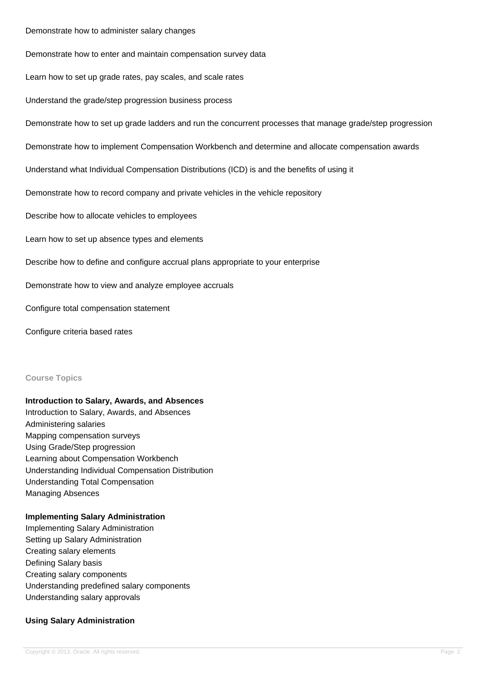#### Demonstrate how to administer salary changes

Demonstrate how to enter and maintain compensation survey data

Learn how to set up grade rates, pay scales, and scale rates

Understand the grade/step progression business process

Demonstrate how to set up grade ladders and run the concurrent processes that manage grade/step progression

Demonstrate how to implement Compensation Workbench and determine and allocate compensation awards

Understand what Individual Compensation Distributions (ICD) is and the benefits of using it

Demonstrate how to record company and private vehicles in the vehicle repository

Describe how to allocate vehicles to employees

Learn how to set up absence types and elements

Describe how to define and configure accrual plans appropriate to your enterprise

Demonstrate how to view and analyze employee accruals

Configure total compensation statement

Configure criteria based rates

#### **Course Topics**

#### **Introduction to Salary, Awards, and Absences**

Introduction to Salary, Awards, and Absences Administering salaries Mapping compensation surveys Using Grade/Step progression Learning about Compensation Workbench Understanding Individual Compensation Distribution Understanding Total Compensation Managing Absences

#### **Implementing Salary Administration**

Implementing Salary Administration Setting up Salary Administration Creating salary elements Defining Salary basis Creating salary components Understanding predefined salary components Understanding salary approvals

#### **Using Salary Administration**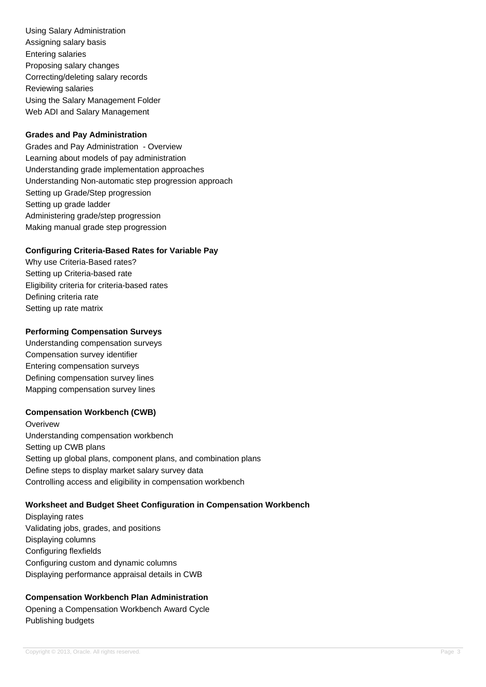Using Salary Administration Assigning salary basis Entering salaries Proposing salary changes Correcting/deleting salary records Reviewing salaries Using the Salary Management Folder Web ADI and Salary Management

#### **Grades and Pay Administration**

Grades and Pay Administration - Overview Learning about models of pay administration Understanding grade implementation approaches Understanding Non-automatic step progression approach Setting up Grade/Step progression Setting up grade ladder Administering grade/step progression Making manual grade step progression

### **Configuring Criteria-Based Rates for Variable Pay**

Why use Criteria-Based rates? Setting up Criteria-based rate Eligibility criteria for criteria-based rates Defining criteria rate Setting up rate matrix

### **Performing Compensation Surveys**

Understanding compensation surveys Compensation survey identifier Entering compensation surveys Defining compensation survey lines Mapping compensation survey lines

#### **Compensation Workbench (CWB)**

**Overivew** Understanding compensation workbench Setting up CWB plans Setting up global plans, component plans, and combination plans Define steps to display market salary survey data Controlling access and eligibility in compensation workbench

### **Worksheet and Budget Sheet Configuration in Compensation Workbench**

Displaying rates Validating jobs, grades, and positions Displaying columns Configuring flexfields Configuring custom and dynamic columns Displaying performance appraisal details in CWB

# **Compensation Workbench Plan Administration**

Opening a Compensation Workbench Award Cycle Publishing budgets